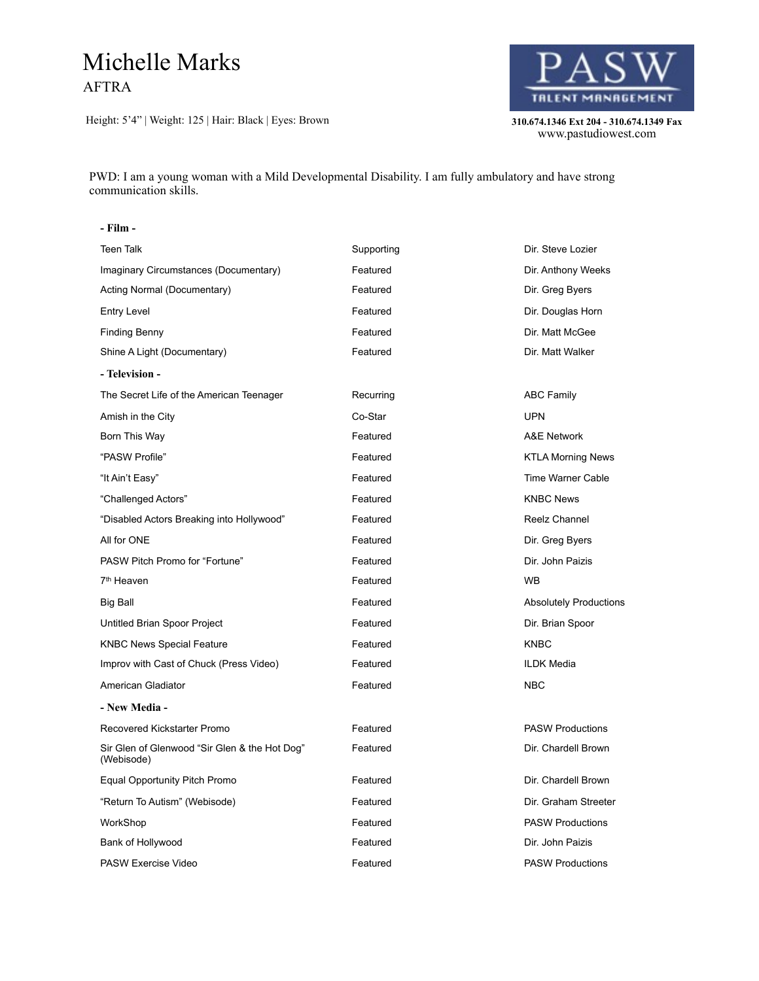## Michelle Marks AFTRA

Height: 5'4" | Weight: 125 | Hair: Black | Eyes: Brown **310.674.1346 Ext 204 - 310.674.1349 Fax** 



310.674.1346 Ext 204 - 310.674.1349 Fax<br>www.pastudiowest.com

PWD: I am a young woman with a Mild Developmental Disability. I am fully ambulatory and have strong communication skills.

## **- Film -**

| <b>Teen Talk</b>                                            | Supporting | Dir. Steve Lozier             |
|-------------------------------------------------------------|------------|-------------------------------|
| Imaginary Circumstances (Documentary)                       | Featured   | Dir. Anthony Weeks            |
| Acting Normal (Documentary)                                 | Featured   | Dir. Greg Byers               |
| <b>Entry Level</b>                                          | Featured   | Dir. Douglas Horn             |
| <b>Finding Benny</b>                                        | Featured   | Dir. Matt McGee               |
| Shine A Light (Documentary)                                 | Featured   | Dir. Matt Walker              |
| - Television -                                              |            |                               |
| The Secret Life of the American Teenager                    | Recurring  | <b>ABC Family</b>             |
| Amish in the City                                           | Co-Star    | <b>UPN</b>                    |
| Born This Way                                               | Featured   | A&E Network                   |
| "PASW Profile"                                              | Featured   | <b>KTLA Morning News</b>      |
| "It Ain't Easy"                                             | Featured   | <b>Time Warner Cable</b>      |
| "Challenged Actors"                                         | Featured   | <b>KNBC News</b>              |
| "Disabled Actors Breaking into Hollywood"                   | Featured   | Reelz Channel                 |
| All for ONE                                                 | Featured   | Dir. Greg Byers               |
| PASW Pitch Promo for "Fortune"                              | Featured   | Dir. John Paizis              |
| 7 <sup>th</sup> Heaven                                      | Featured   | <b>WB</b>                     |
| <b>Big Ball</b>                                             | Featured   | <b>Absolutely Productions</b> |
| Untitled Brian Spoor Project                                | Featured   | Dir. Brian Spoor              |
| <b>KNBC News Special Feature</b>                            | Featured   | <b>KNBC</b>                   |
| Improv with Cast of Chuck (Press Video)                     | Featured   | <b>ILDK Media</b>             |
| American Gladiator                                          | Featured   | <b>NBC</b>                    |
| - New Media -                                               |            |                               |
| Recovered Kickstarter Promo                                 | Featured   | <b>PASW Productions</b>       |
| Sir Glen of Glenwood "Sir Glen & the Hot Dog"<br>(Webisode) | Featured   | Dir. Chardell Brown           |
| Equal Opportunity Pitch Promo                               | Featured   | Dir. Chardell Brown           |
| "Return To Autism" (Webisode)                               | Featured   | Dir. Graham Streeter          |
| WorkShop                                                    | Featured   | <b>PASW Productions</b>       |
| Bank of Hollywood                                           | Featured   | Dir. John Paizis              |
| PASW Exercise Video                                         | Featured   | <b>PASW Productions</b>       |